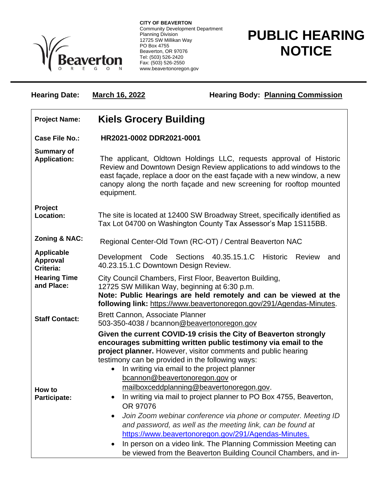

**CITY OF BEAVERTON** Community Development Department Planning Division 12725 SW Millikan Way PO Box 4755 Beaverton, OR 97076 Tel: (503) 526-2420 Fax: (503) 526-2550 www.beavertonoregon.gov

## **PUBLIC HEARING NOTICE**

| <b>Hearing Date:</b>                              | <b>March 16, 2022</b>                                                                                                                                                                                                                                | <b>Hearing Body: Planning Commission</b>                                                                                                                                                                                                                                                                                                                                                                                                                                                                                                                                                                                                                                                                                                                                                |
|---------------------------------------------------|------------------------------------------------------------------------------------------------------------------------------------------------------------------------------------------------------------------------------------------------------|-----------------------------------------------------------------------------------------------------------------------------------------------------------------------------------------------------------------------------------------------------------------------------------------------------------------------------------------------------------------------------------------------------------------------------------------------------------------------------------------------------------------------------------------------------------------------------------------------------------------------------------------------------------------------------------------------------------------------------------------------------------------------------------------|
| <b>Project Name:</b>                              | <b>Kiels Grocery Building</b>                                                                                                                                                                                                                        |                                                                                                                                                                                                                                                                                                                                                                                                                                                                                                                                                                                                                                                                                                                                                                                         |
| <b>Case File No.:</b>                             | HR2021-0002 DDR2021-0001                                                                                                                                                                                                                             |                                                                                                                                                                                                                                                                                                                                                                                                                                                                                                                                                                                                                                                                                                                                                                                         |
| <b>Summary of</b><br><b>Application:</b>          | equipment.                                                                                                                                                                                                                                           | The applicant, Oldtown Holdings LLC, requests approval of Historic<br>Review and Downtown Design Review applications to add windows to the<br>east façade, replace a door on the east façade with a new window, a new<br>canopy along the north façade and new screening for rooftop mounted                                                                                                                                                                                                                                                                                                                                                                                                                                                                                            |
| Project<br>Location:                              |                                                                                                                                                                                                                                                      | The site is located at 12400 SW Broadway Street, specifically identified as<br>Tax Lot 04700 on Washington County Tax Assessor's Map 1S115BB.                                                                                                                                                                                                                                                                                                                                                                                                                                                                                                                                                                                                                                           |
| <b>Zoning &amp; NAC:</b>                          | Regional Center-Old Town (RC-OT) / Central Beaverton NAC                                                                                                                                                                                             |                                                                                                                                                                                                                                                                                                                                                                                                                                                                                                                                                                                                                                                                                                                                                                                         |
| <b>Applicable</b><br><b>Approval</b><br>Criteria: | Development Code Sections 40.35.15.1.C<br>Historic Review<br>and<br>40.23.15.1.C Downtown Design Review.                                                                                                                                             |                                                                                                                                                                                                                                                                                                                                                                                                                                                                                                                                                                                                                                                                                                                                                                                         |
| <b>Hearing Time</b><br>and Place:                 | City Council Chambers, First Floor, Beaverton Building,<br>12725 SW Millikan Way, beginning at 6:30 p.m.<br>Note: Public Hearings are held remotely and can be viewed at the<br>following link: https://www.beavertonoregon.gov/291/Agendas-Minutes. |                                                                                                                                                                                                                                                                                                                                                                                                                                                                                                                                                                                                                                                                                                                                                                                         |
| <b>Staff Contact:</b>                             | Brett Cannon, Associate Planner<br>503-350-4038 / bcannon@beavertonoregon.gov                                                                                                                                                                        |                                                                                                                                                                                                                                                                                                                                                                                                                                                                                                                                                                                                                                                                                                                                                                                         |
| How to<br><b>Participate:</b>                     | $\bullet$<br>OR 97076<br>$\bullet$                                                                                                                                                                                                                   | Given the current COVID-19 crisis the City of Beaverton strongly<br>encourages submitting written public testimony via email to the<br>project planner. However, visitor comments and public hearing<br>testimony can be provided in the following ways:<br>In writing via email to the project planner<br>bcannon@beavertonoregon.gov or<br>mailboxceddplanning@beavertonoregon.gov.<br>In writing via mail to project planner to PO Box 4755, Beaverton,<br>Join Zoom webinar conference via phone or computer. Meeting ID<br>and password, as well as the meeting link, can be found at<br>https://www.beavertonoregon.gov/291/Agendas-Minutes.<br>In person on a video link. The Planning Commission Meeting can<br>be viewed from the Beaverton Building Council Chambers, and in- |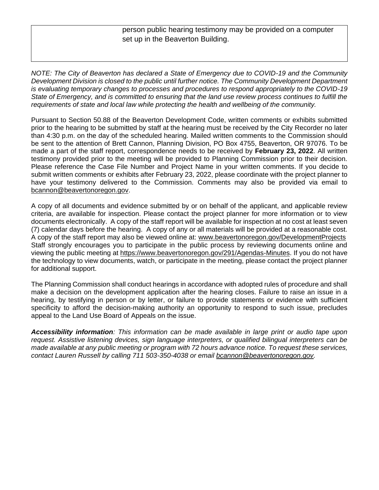person public hearing testimony may be provided on a computer set up in the Beaverton Building.

*NOTE: The City of Beaverton has declared a State of Emergency due to COVID-19 and the Community Development Division is closed to the public until further notice. The Community Development Department is evaluating temporary changes to processes and procedures to respond appropriately to the COVID-19 State of Emergency, and is committed to ensuring that the land use review process continues to fulfill the requirements of state and local law while protecting the health and wellbeing of the community.*

Pursuant to Section 50.88 of the Beaverton Development Code, written comments or exhibits submitted prior to the hearing to be submitted by staff at the hearing must be received by the City Recorder no later than 4:30 p.m. on the day of the scheduled hearing. Mailed written comments to the Commission should be sent to the attention of Brett Cannon, Planning Division, PO Box 4755, Beaverton, OR 97076. To be made a part of the staff report, correspondence needs to be received by **February 23, 2022**. All written testimony provided prior to the meeting will be provided to Planning Commission prior to their decision. Please reference the Case File Number and Project Name in your written comments. If you decide to submit written comments or exhibits after February 23, 2022, please coordinate with the project planner to have your testimony delivered to the Commission. Comments may also be provided via email to [bcannon@beavertonoregon.gov.](mailto:bcannon@beavertonoregon.gov)

A copy of all documents and evidence submitted by or on behalf of the applicant, and applicable review criteria, are available for inspection. Please contact the project planner for more information or to view documents electronically. A copy of the staff report will be available for inspection at no cost at least seven (7) calendar days before the hearing. A copy of any or all materials will be provided at a reasonable cost. A copy of the staff report may also be viewed online at: [www.beavertonoregon.gov/DevelopmentProjects](http://www.beavertonoregon.gov/DevelopmentProjects) Staff strongly encourages you to participate in the public process by reviewing documents online and viewing the public meeting at [https://www.beavertonoregon.gov/291/Agendas-Minutes.](https://www.beavertonoregon.gov/291/Agendas-Minutes) If you do not have the technology to view documents, watch, or participate in the meeting, please contact the project planner for additional support.

The Planning Commission shall conduct hearings in accordance with adopted rules of procedure and shall make a decision on the development application after the hearing closes. Failure to raise an issue in a hearing, by testifying in person or by letter, or failure to provide statements or evidence with sufficient specificity to afford the decision-making authority an opportunity to respond to such issue, precludes appeal to the Land Use Board of Appeals on the issue.

*Accessibility information: This information can be made available in large print or audio tape upon request. Assistive listening devices, sign language interpreters, or qualified bilingual interpreters can be made available at any public meeting or program with 72 hours advance notice. To request these services, contact Lauren Russell by calling 711 503-350-4038 or email [bcannon@beavertonoregon.gov.](mailto:bcannon@beavertonoregon.gov)*